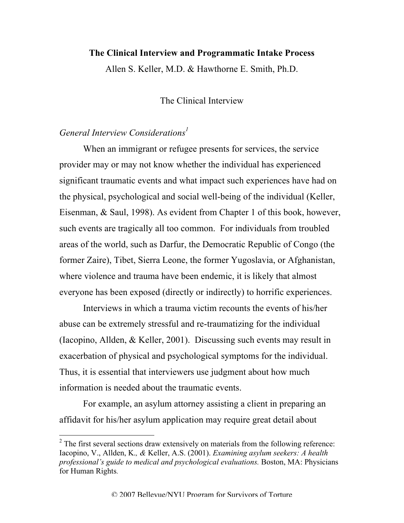## **The Clinical Interview and Programmatic Intake Process**

Allen S. Keller, M.D. & Hawthorne E. Smith, Ph.D.

The Clinical Interview

## *General Interview Considerations<sup>1</sup>*

When an immigrant or refugee presents for services, the service provider may or may not know whether the individual has experienced significant traumatic events and what impact such experiences have had on the physical, psychological and social well-being of the individual (Keller, Eisenman, & Saul, 1998). As evident from Chapter 1 of this book, however, such events are tragically all too common. For individuals from troubled areas of the world, such as Darfur, the Democratic Republic of Congo (the former Zaire), Tibet, Sierra Leone, the former Yugoslavia, or Afghanistan, where violence and trauma have been endemic, it is likely that almost everyone has been exposed (directly or indirectly) to horrific experiences.

Interviews in which a trauma victim recounts the events of his/her abuse can be extremely stressful and re-traumatizing for the individual (Iacopino, Allden, & Keller, 2001). Discussing such events may result in exacerbation of physical and psychological symptoms for the individual. Thus, it is essential that interviewers use judgment about how much information is needed about the traumatic events.

For example, an asylum attorney assisting a client in preparing an affidavit for his/her asylum application may require great detail about

<sup>&</sup>lt;sup>2</sup> The first several sections draw extensively on materials from the following reference: Iacopino, V., Allden, K.*, &* Keller, A.S. (2001). *Examining asylum seekers: A health professional's guide to medical and psychological evaluations.* Boston, MA: Physicians for Human Rights.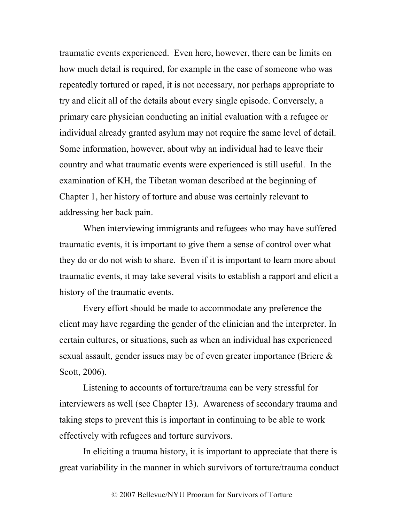traumatic events experienced. Even here, however, there can be limits on how much detail is required, for example in the case of someone who was repeatedly tortured or raped, it is not necessary, nor perhaps appropriate to try and elicit all of the details about every single episode. Conversely, a primary care physician conducting an initial evaluation with a refugee or individual already granted asylum may not require the same level of detail. Some information, however, about why an individual had to leave their country and what traumatic events were experienced is still useful. In the examination of KH, the Tibetan woman described at the beginning of Chapter 1, her history of torture and abuse was certainly relevant to addressing her back pain.

When interviewing immigrants and refugees who may have suffered traumatic events, it is important to give them a sense of control over what they do or do not wish to share. Even if it is important to learn more about traumatic events, it may take several visits to establish a rapport and elicit a history of the traumatic events.

Every effort should be made to accommodate any preference the client may have regarding the gender of the clinician and the interpreter. In certain cultures, or situations, such as when an individual has experienced sexual assault, gender issues may be of even greater importance (Briere & Scott, 2006).

Listening to accounts of torture/trauma can be very stressful for interviewers as well (see Chapter 13). Awareness of secondary trauma and taking steps to prevent this is important in continuing to be able to work effectively with refugees and torture survivors.

In eliciting a trauma history, it is important to appreciate that there is great variability in the manner in which survivors of torture/trauma conduct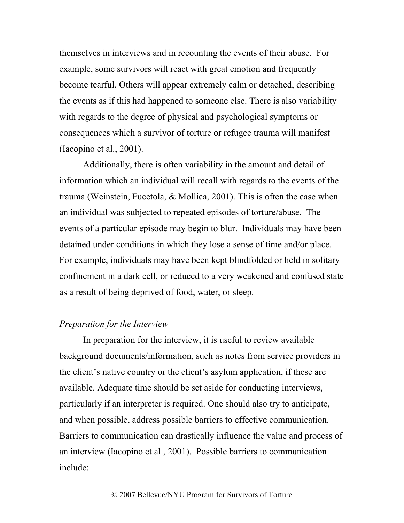themselves in interviews and in recounting the events of their abuse. For example, some survivors will react with great emotion and frequently become tearful. Others will appear extremely calm or detached, describing the events as if this had happened to someone else. There is also variability with regards to the degree of physical and psychological symptoms or consequences which a survivor of torture or refugee trauma will manifest (Iacopino et al., 2001).

Additionally, there is often variability in the amount and detail of information which an individual will recall with regards to the events of the trauma (Weinstein, Fucetola, & Mollica, 2001). This is often the case when an individual was subjected to repeated episodes of torture/abuse. The events of a particular episode may begin to blur. Individuals may have been detained under conditions in which they lose a sense of time and/or place. For example, individuals may have been kept blindfolded or held in solitary confinement in a dark cell, or reduced to a very weakened and confused state as a result of being deprived of food, water, or sleep.

## *Preparation for the Interview*

In preparation for the interview, it is useful to review available background documents/information, such as notes from service providers in the client's native country or the client's asylum application, if these are available. Adequate time should be set aside for conducting interviews, particularly if an interpreter is required. One should also try to anticipate, and when possible, address possible barriers to effective communication. Barriers to communication can drastically influence the value and process of an interview (Iacopino et al., 2001). Possible barriers to communication include: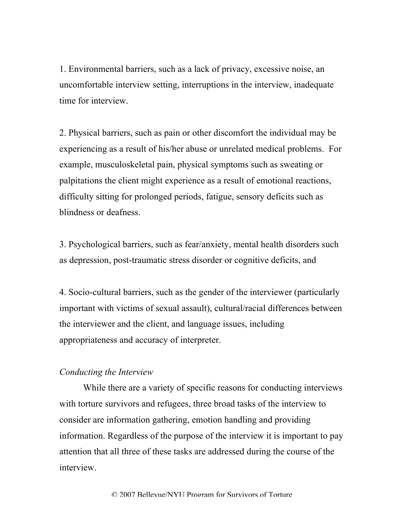1. Environmental barriers, such as a lack of privacy, excessive noise, an uncomfortable interview setting, interruptions in the interview, inadequate time for interview.

2. Physical barriers, such as pain or other discomfort the individual may be experiencing as a result of his/her abuse or unrelated medical problems. For example, musculoskeletal pain, physical symptoms such as sweating or palpitations the client might experience as a result of emotional reactions, difficulty sitting for prolonged periods, fatigue, sensory deficits such as blindness or deafness.

3. Psychological barriers, such as fear/anxiety, mental health disorders such as depression, post-traumatic stress disorder or cognitive deficits, and

4. Socio-cultural barriers, such as the gender of the interviewer (particularly important with victims of sexual assault), cultural/racial differences between the interviewer and the client, and language issues, including appropriateness and accuracy of interpreter.

## *Conducting the Interview*

While there are a variety of specific reasons for conducting interviews with torture survivors and refugees, three broad tasks of the interview to consider are information gathering, emotion handling and providing information. Regardless of the purpose of the interview it is important to pay attention that all three of these tasks are addressed during the course of the interview.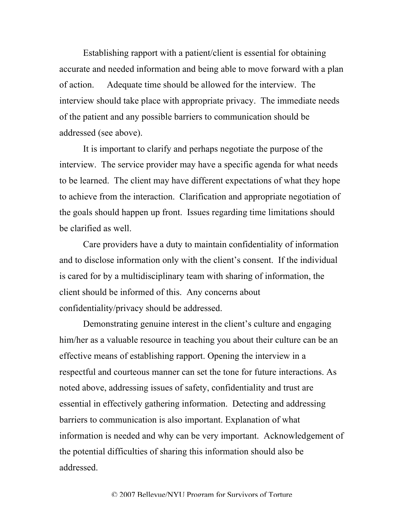Establishing rapport with a patient/client is essential for obtaining accurate and needed information and being able to move forward with a plan of action. Adequate time should be allowed for the interview. The interview should take place with appropriate privacy. The immediate needs of the patient and any possible barriers to communication should be addressed (see above).

It is important to clarify and perhaps negotiate the purpose of the interview. The service provider may have a specific agenda for what needs to be learned. The client may have different expectations of what they hope to achieve from the interaction. Clarification and appropriate negotiation of the goals should happen up front. Issues regarding time limitations should be clarified as well.

Care providers have a duty to maintain confidentiality of information and to disclose information only with the client's consent. If the individual is cared for by a multidisciplinary team with sharing of information, the client should be informed of this. Any concerns about confidentiality/privacy should be addressed.

Demonstrating genuine interest in the client's culture and engaging him/her as a valuable resource in teaching you about their culture can be an effective means of establishing rapport. Opening the interview in a respectful and courteous manner can set the tone for future interactions. As noted above, addressing issues of safety, confidentiality and trust are essential in effectively gathering information. Detecting and addressing barriers to communication is also important. Explanation of what information is needed and why can be very important. Acknowledgement of the potential difficulties of sharing this information should also be addressed.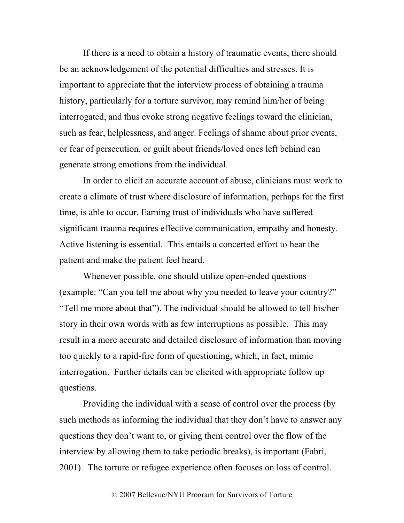If there is a need to obtain a history of traumatic events, there should be an acknowledgement of the potential difficulties and stresses. It is important to appreciate that the interview process of obtaining a trauma history, particularly for a torture survivor, may remind him/her of being interrogated, and thus evoke strong negative feelings toward the clinician, such as fear, helplessness, and anger. Feelings of shame about prior events, or fear of persecution, or guilt about friends/loved ones left behind can generate strong emotions from the individual.

In order to elicit an accurate account of abuse, clinicians must work to create a climate of trust where disclosure of information, perhaps for the first time, is able to occur. Earning trust of individuals who have suffered significant trauma requires effective communication, empathy and honesty. Active listening is essential. This entails a concerted effort to hear the patient and make the patient feel heard.

Whenever possible, one should utilize open-ended questions (example: "Can you tell me about why you needed to leave your country?" "Tell me more about that"). The individual should be allowed to tell his/her story in their own words with as few interruptions as possible. This may result in a more accurate and detailed disclosure of information than moving too quickly to a rapid-fire form of questioning, which, in fact, mimic interrogation. Further details can be elicited with appropriate follow up questions.

Providing the individual with a sense of control over the process (by such methods as informing the individual that they don't have to answer any questions they don't want to, or giving them control over the flow of the interview by allowing them to take periodic breaks), is important (Fabri, 2001). The torture or refugee experience often focuses on loss of control.